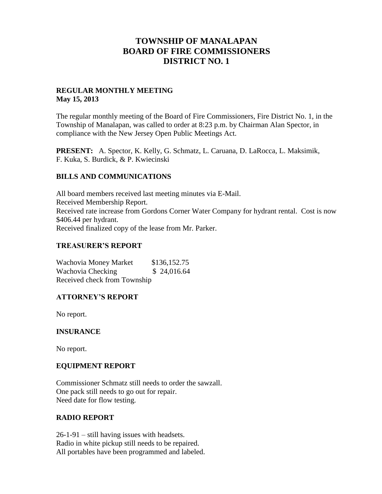## **TOWNSHIP OF MANALAPAN BOARD OF FIRE COMMISSIONERS DISTRICT NO. 1**

### **REGULAR MONTHLY MEETING May 15, 2013**

The regular monthly meeting of the Board of Fire Commissioners, Fire District No. 1, in the Township of Manalapan, was called to order at 8:23 p.m. by Chairman Alan Spector, in compliance with the New Jersey Open Public Meetings Act.

**PRESENT:** A. Spector, K. Kelly, G. Schmatz, L. Caruana, D. LaRocca, L. Maksimik, F. Kuka, S. Burdick, & P. Kwiecinski

### **BILLS AND COMMUNICATIONS**

All board members received last meeting minutes via E-Mail. Received Membership Report. Received rate increase from Gordons Corner Water Company for hydrant rental. Cost is now \$406.44 per hydrant. Received finalized copy of the lease from Mr. Parker.

### **TREASURER'S REPORT**

Wachovia Money Market \$136,152.75 Wachovia Checking  $$ 24,016.64$ Received check from Township

## **ATTORNEY'S REPORT**

No report.

#### **INSURANCE**

No report.

#### **EQUIPMENT REPORT**

Commissioner Schmatz still needs to order the sawzall. One pack still needs to go out for repair. Need date for flow testing.

#### **RADIO REPORT**

26-1-91 – still having issues with headsets. Radio in white pickup still needs to be repaired. All portables have been programmed and labeled.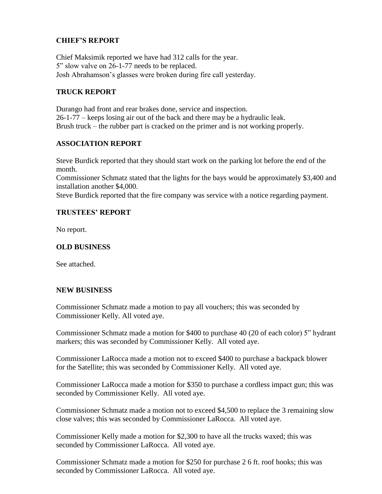## **CHIEF'S REPORT**

Chief Maksimik reported we have had 312 calls for the year. 5" slow valve on 26-1-77 needs to be replaced. Josh Abrahamson's glasses were broken during fire call yesterday.

### **TRUCK REPORT**

Durango had front and rear brakes done, service and inspection. 26-1-77 – keeps losing air out of the back and there may be a hydraulic leak. Brush truck – the rubber part is cracked on the primer and is not working properly.

### **ASSOCIATION REPORT**

Steve Burdick reported that they should start work on the parking lot before the end of the month.

Commissioner Schmatz stated that the lights for the bays would be approximately \$3,400 and installation another \$4,000.

Steve Burdick reported that the fire company was service with a notice regarding payment.

### **TRUSTEES' REPORT**

No report.

## **OLD BUSINESS**

See attached.

#### **NEW BUSINESS**

Commissioner Schmatz made a motion to pay all vouchers; this was seconded by Commissioner Kelly. All voted aye.

Commissioner Schmatz made a motion for \$400 to purchase 40 (20 of each color) 5" hydrant markers; this was seconded by Commissioner Kelly. All voted aye.

Commissioner LaRocca made a motion not to exceed \$400 to purchase a backpack blower for the Satellite; this was seconded by Commissioner Kelly. All voted aye.

Commissioner LaRocca made a motion for \$350 to purchase a cordless impact gun; this was seconded by Commissioner Kelly. All voted aye.

Commissioner Schmatz made a motion not to exceed \$4,500 to replace the 3 remaining slow close valves; this was seconded by Commissioner LaRocca. All voted aye.

Commissioner Kelly made a motion for \$2,300 to have all the trucks waxed; this was seconded by Commissioner LaRocca. All voted aye.

Commissioner Schmatz made a motion for \$250 for purchase 2 6 ft. roof hooks; this was seconded by Commissioner LaRocca. All voted aye.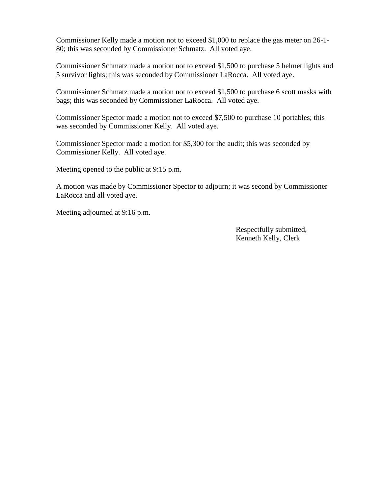Commissioner Kelly made a motion not to exceed \$1,000 to replace the gas meter on 26-1- 80; this was seconded by Commissioner Schmatz. All voted aye.

Commissioner Schmatz made a motion not to exceed \$1,500 to purchase 5 helmet lights and 5 survivor lights; this was seconded by Commissioner LaRocca. All voted aye.

Commissioner Schmatz made a motion not to exceed \$1,500 to purchase 6 scott masks with bags; this was seconded by Commissioner LaRocca. All voted aye.

Commissioner Spector made a motion not to exceed \$7,500 to purchase 10 portables; this was seconded by Commissioner Kelly. All voted aye.

Commissioner Spector made a motion for \$5,300 for the audit; this was seconded by Commissioner Kelly. All voted aye.

Meeting opened to the public at 9:15 p.m.

A motion was made by Commissioner Spector to adjourn; it was second by Commissioner LaRocca and all voted aye.

Meeting adjourned at 9:16 p.m.

 Respectfully submitted, Kenneth Kelly, Clerk